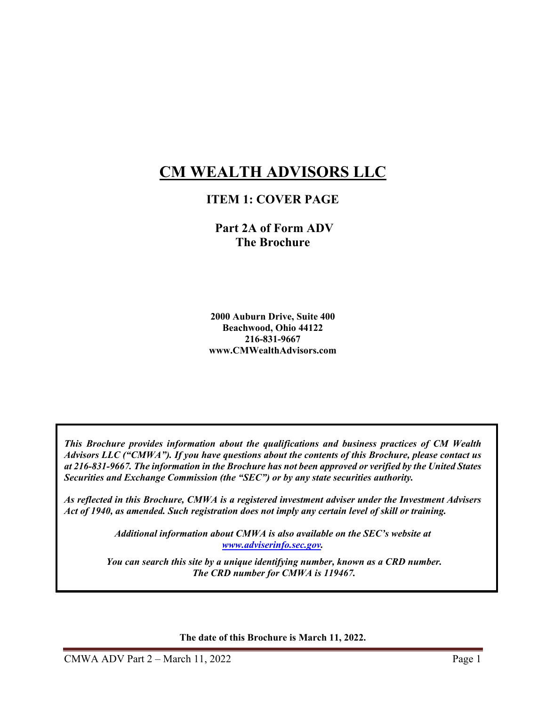# **CM WEALTH ADVISORS LLC**

### **ITEM 1: COVER PAGE**

 **Part 2A of Form ADV The Brochure** 

**2000 Auburn Drive, Suite 400 Beachwood, Ohio 44122 216-831-9667 www.CMWealthAdvisors.com** 

*This Brochure provides information about the qualifications and business practices of CM Wealth Advisors LLC ("CMWA"). If you have questions about the contents of this Brochure, please contact us at 216-831-9667. The information in the Brochure has not been approved or verified by the United States Securities and Exchange Commission (the "SEC") or by any state securities authority.* 

*As reflected in this Brochure, CMWA is a registered investment adviser under the Investment Advisers Act of 1940, as amended. Such registration does not imply any certain level of skill or training.* 

> *Additional information about CMWA is also available on the SEC's website at www.adviserinfo.sec.gov.*

*You can search this site by a unique identifying number, known as a CRD number. The CRD number for CMWA is 119467.* 

**The date of this Brochure is March 11, 2022.**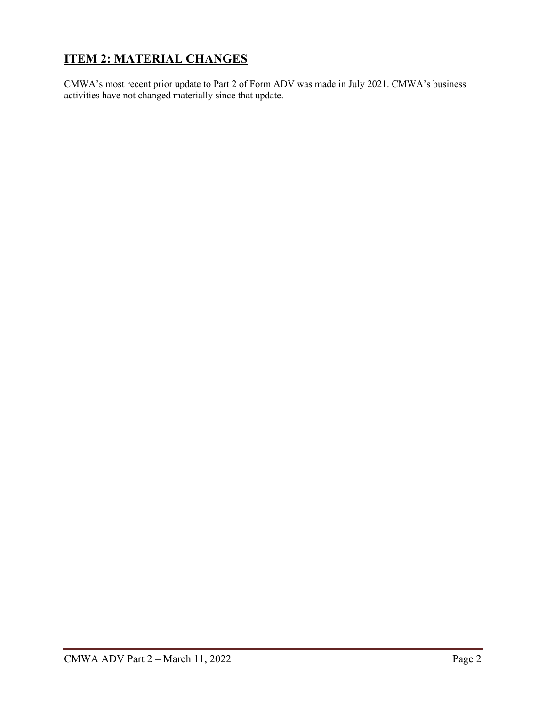## **ITEM 2: MATERIAL CHANGES**

CMWA's most recent prior update to Part 2 of Form ADV was made in July 2021. CMWA's business activities have not changed materially since that update.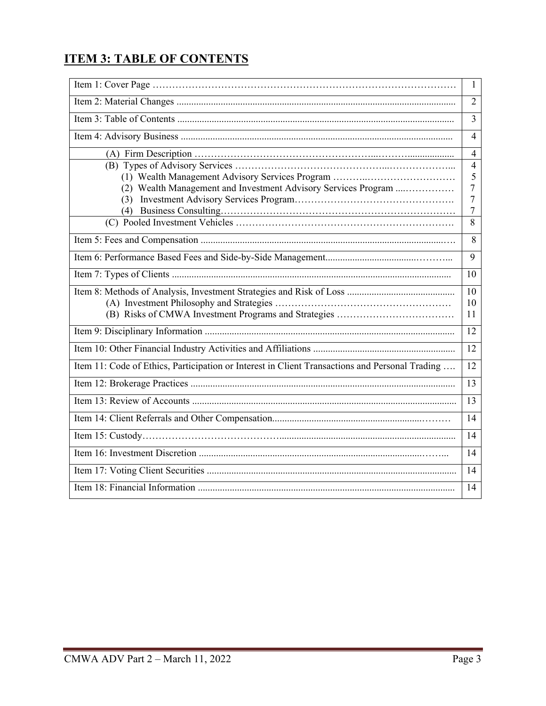## **ITEM 3: TABLE OF CONTENTS**

|                                                                                                                      | $\mathbf{1}$   |  |
|----------------------------------------------------------------------------------------------------------------------|----------------|--|
|                                                                                                                      |                |  |
|                                                                                                                      |                |  |
|                                                                                                                      |                |  |
|                                                                                                                      | $\overline{4}$ |  |
|                                                                                                                      | $\overline{4}$ |  |
|                                                                                                                      | 5              |  |
| (2) Wealth Management and Investment Advisory Services Program                                                       | $\overline{7}$ |  |
|                                                                                                                      | $\overline{7}$ |  |
|                                                                                                                      | $\overline{7}$ |  |
|                                                                                                                      | 8              |  |
|                                                                                                                      | 8              |  |
|                                                                                                                      | 9              |  |
|                                                                                                                      | 10             |  |
|                                                                                                                      | 10             |  |
|                                                                                                                      | 10             |  |
|                                                                                                                      | 11             |  |
|                                                                                                                      | 12             |  |
|                                                                                                                      | 12             |  |
| Item 11: Code of Ethics, Participation or Interest in Client Transactions and Personal Trading                       | 12             |  |
| <u> 1989 - Andrea Barbara, Amerikaansk politiker (d. 1989)</u>                                                       | 13             |  |
|                                                                                                                      | 13             |  |
|                                                                                                                      | 14             |  |
|                                                                                                                      | 14             |  |
|                                                                                                                      |                |  |
| <u> 1980 - Johann Barn, amerikan besteman besteman besteman besteman besteman besteman besteman besteman bestema</u> | 14             |  |
|                                                                                                                      | 14             |  |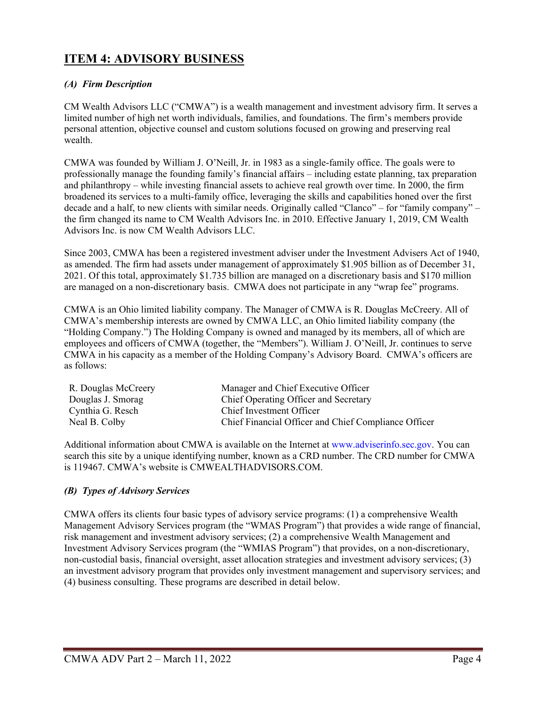### **ITEM 4: ADVISORY BUSINESS**

#### *(A) Firm Description*

CM Wealth Advisors LLC ("CMWA") is a wealth management and investment advisory firm. It serves a limited number of high net worth individuals, families, and foundations. The firm's members provide personal attention, objective counsel and custom solutions focused on growing and preserving real wealth.

CMWA was founded by William J. O'Neill, Jr. in 1983 as a single-family office. The goals were to professionally manage the founding family's financial affairs – including estate planning, tax preparation and philanthropy – while investing financial assets to achieve real growth over time. In 2000, the firm broadened its services to a multi-family office, leveraging the skills and capabilities honed over the first decade and a half, to new clients with similar needs. Originally called "Clanco" – for "family company" – the firm changed its name to CM Wealth Advisors Inc. in 2010. Effective January 1, 2019, CM Wealth Advisors Inc. is now CM Wealth Advisors LLC.

Since 2003, CMWA has been a registered investment adviser under the Investment Advisers Act of 1940, as amended. The firm had assets under management of approximately \$1.905 billion as of December 31, 2021. Of this total, approximately \$1.735 billion are managed on a discretionary basis and \$170 million are managed on a non-discretionary basis. CMWA does not participate in any "wrap fee" programs.

CMWA is an Ohio limited liability company. The Manager of CMWA is R. Douglas McCreery. All of CMWA's membership interests are owned by CMWA LLC, an Ohio limited liability company (the "Holding Company.") The Holding Company is owned and managed by its members, all of which are employees and officers of CMWA (together, the "Members"). William J. O'Neill, Jr. continues to serve CMWA in his capacity as a member of the Holding Company's Advisory Board. CMWA's officers are as follows:

| R. Douglas McCreery | Manager and Chief Executive Officer                  |
|---------------------|------------------------------------------------------|
| Douglas J. Smorag   | Chief Operating Officer and Secretary                |
| Cynthia G. Resch    | Chief Investment Officer                             |
| Neal B. Colby       | Chief Financial Officer and Chief Compliance Officer |

Additional information about CMWA is available on the Internet at www.adviserinfo.sec.gov. You can search this site by a unique identifying number, known as a CRD number. The CRD number for CMWA is 119467. CMWA's website is CMWEALTHADVISORS.COM.

#### *(B) Types of Advisory Services*

CMWA offers its clients four basic types of advisory service programs: (1) a comprehensive Wealth Management Advisory Services program (the "WMAS Program") that provides a wide range of financial, risk management and investment advisory services; (2) a comprehensive Wealth Management and Investment Advisory Services program (the "WMIAS Program") that provides, on a non-discretionary, non-custodial basis, financial oversight, asset allocation strategies and investment advisory services; (3) an investment advisory program that provides only investment management and supervisory services; and (4) business consulting. These programs are described in detail below.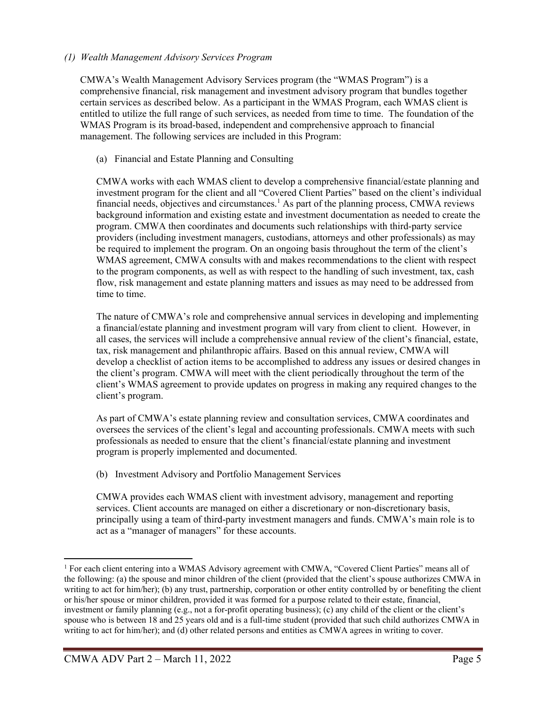#### *(1) Wealth Management Advisory Services Program*

CMWA's Wealth Management Advisory Services program (the "WMAS Program") is a comprehensive financial, risk management and investment advisory program that bundles together certain services as described below. As a participant in the WMAS Program, each WMAS client is entitled to utilize the full range of such services, as needed from time to time. The foundation of the WMAS Program is its broad-based, independent and comprehensive approach to financial management. The following services are included in this Program:

#### (a) Financial and Estate Planning and Consulting

CMWA works with each WMAS client to develop a comprehensive financial/estate planning and investment program for the client and all "Covered Client Parties" based on the client's individual financial needs, objectives and circumstances.<sup>1</sup> As part of the planning process, CMWA reviews background information and existing estate and investment documentation as needed to create the program. CMWA then coordinates and documents such relationships with third-party service providers (including investment managers, custodians, attorneys and other professionals) as may be required to implement the program. On an ongoing basis throughout the term of the client's WMAS agreement, CMWA consults with and makes recommendations to the client with respect to the program components, as well as with respect to the handling of such investment, tax, cash flow, risk management and estate planning matters and issues as may need to be addressed from time to time.

The nature of CMWA's role and comprehensive annual services in developing and implementing a financial/estate planning and investment program will vary from client to client. However, in all cases, the services will include a comprehensive annual review of the client's financial, estate, tax, risk management and philanthropic affairs. Based on this annual review, CMWA will develop a checklist of action items to be accomplished to address any issues or desired changes in the client's program. CMWA will meet with the client periodically throughout the term of the client's WMAS agreement to provide updates on progress in making any required changes to the client's program.

As part of CMWA's estate planning review and consultation services, CMWA coordinates and oversees the services of the client's legal and accounting professionals. CMWA meets with such professionals as needed to ensure that the client's financial/estate planning and investment program is properly implemented and documented.

(b) Investment Advisory and Portfolio Management Services

CMWA provides each WMAS client with investment advisory, management and reporting services. Client accounts are managed on either a discretionary or non-discretionary basis, principally using a team of third-party investment managers and funds. CMWA's main role is to act as a "manager of managers" for these accounts.

<sup>&</sup>lt;sup>1</sup> For each client entering into a WMAS Advisory agreement with CMWA, "Covered Client Parties" means all of the following: (a) the spouse and minor children of the client (provided that the client's spouse authorizes CMWA in writing to act for him/her); (b) any trust, partnership, corporation or other entity controlled by or benefiting the client or his/her spouse or minor children, provided it was formed for a purpose related to their estate, financial, investment or family planning (e.g., not a for-profit operating business); (c) any child of the client or the client's spouse who is between 18 and 25 years old and is a full-time student (provided that such child authorizes CMWA in writing to act for him/her); and (d) other related persons and entities as CMWA agrees in writing to cover.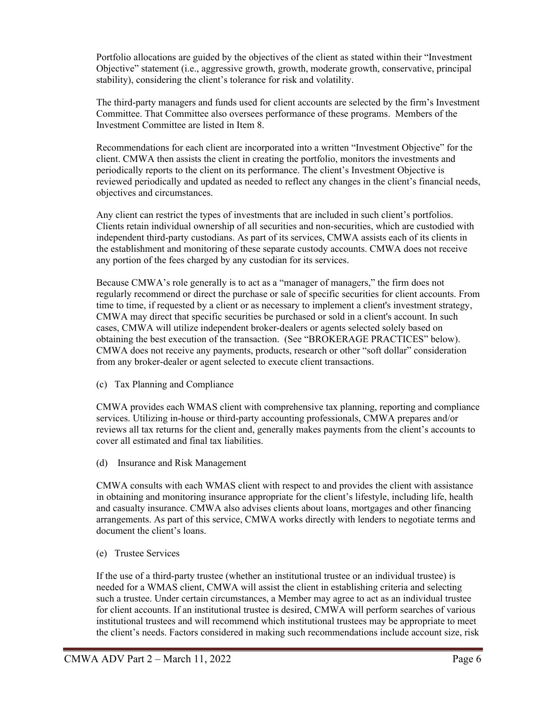Portfolio allocations are guided by the objectives of the client as stated within their "Investment Objective" statement (i.e., aggressive growth, growth, moderate growth, conservative, principal stability), considering the client's tolerance for risk and volatility.

The third-party managers and funds used for client accounts are selected by the firm's Investment Committee. That Committee also oversees performance of these programs. Members of the Investment Committee are listed in Item 8.

Recommendations for each client are incorporated into a written "Investment Objective" for the client. CMWA then assists the client in creating the portfolio, monitors the investments and periodically reports to the client on its performance. The client's Investment Objective is reviewed periodically and updated as needed to reflect any changes in the client's financial needs, objectives and circumstances.

Any client can restrict the types of investments that are included in such client's portfolios. Clients retain individual ownership of all securities and non-securities, which are custodied with independent third-party custodians. As part of its services, CMWA assists each of its clients in the establishment and monitoring of these separate custody accounts. CMWA does not receive any portion of the fees charged by any custodian for its services.

Because CMWA's role generally is to act as a "manager of managers," the firm does not regularly recommend or direct the purchase or sale of specific securities for client accounts. From time to time, if requested by a client or as necessary to implement a client's investment strategy, CMWA may direct that specific securities be purchased or sold in a client's account. In such cases, CMWA will utilize independent broker-dealers or agents selected solely based on obtaining the best execution of the transaction. (See "BROKERAGE PRACTICES" below). CMWA does not receive any payments, products, research or other "soft dollar" consideration from any broker-dealer or agent selected to execute client transactions.

(c) Tax Planning and Compliance

CMWA provides each WMAS client with comprehensive tax planning, reporting and compliance services. Utilizing in-house or third-party accounting professionals, CMWA prepares and/or reviews all tax returns for the client and, generally makes payments from the client's accounts to cover all estimated and final tax liabilities.

(d) Insurance and Risk Management

CMWA consults with each WMAS client with respect to and provides the client with assistance in obtaining and monitoring insurance appropriate for the client's lifestyle, including life, health and casualty insurance. CMWA also advises clients about loans, mortgages and other financing arrangements. As part of this service, CMWA works directly with lenders to negotiate terms and document the client's loans.

(e) Trustee Services

If the use of a third-party trustee (whether an institutional trustee or an individual trustee) is needed for a WMAS client, CMWA will assist the client in establishing criteria and selecting such a trustee. Under certain circumstances, a Member may agree to act as an individual trustee for client accounts. If an institutional trustee is desired, CMWA will perform searches of various institutional trustees and will recommend which institutional trustees may be appropriate to meet the client's needs. Factors considered in making such recommendations include account size, risk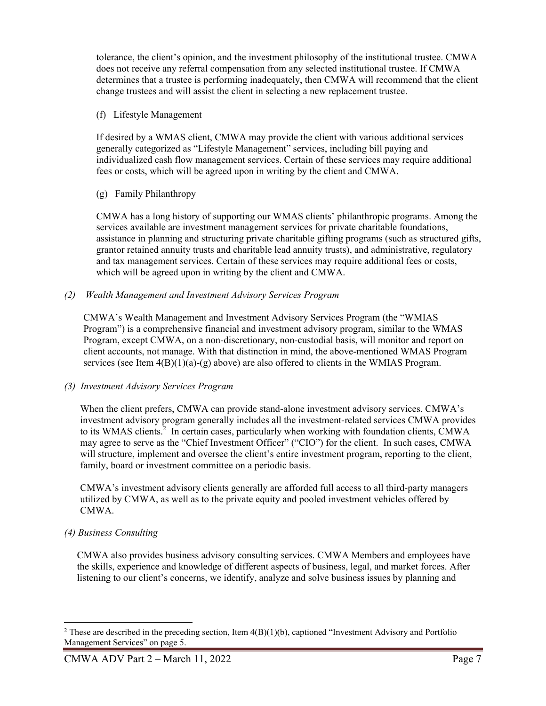tolerance, the client's opinion, and the investment philosophy of the institutional trustee. CMWA does not receive any referral compensation from any selected institutional trustee. If CMWA determines that a trustee is performing inadequately, then CMWA will recommend that the client change trustees and will assist the client in selecting a new replacement trustee.

#### (f) Lifestyle Management

If desired by a WMAS client, CMWA may provide the client with various additional services generally categorized as "Lifestyle Management" services, including bill paying and individualized cash flow management services. Certain of these services may require additional fees or costs, which will be agreed upon in writing by the client and CMWA.

(g) Family Philanthropy

CMWA has a long history of supporting our WMAS clients' philanthropic programs. Among the services available are investment management services for private charitable foundations, assistance in planning and structuring private charitable gifting programs (such as structured gifts, grantor retained annuity trusts and charitable lead annuity trusts), and administrative, regulatory and tax management services. Certain of these services may require additional fees or costs, which will be agreed upon in writing by the client and CMWA.

#### *(2) Wealth Management and Investment Advisory Services Program*

CMWA's Wealth Management and Investment Advisory Services Program (the "WMIAS Program") is a comprehensive financial and investment advisory program, similar to the WMAS Program, except CMWA, on a non-discretionary, non-custodial basis, will monitor and report on client accounts, not manage. With that distinction in mind, the above-mentioned WMAS Program services (see Item  $4(B)(1)(a)-(g)$  above) are also offered to clients in the WMIAS Program.

#### *(3) Investment Advisory Services Program*

When the client prefers, CMWA can provide stand-alone investment advisory services. CMWA's investment advisory program generally includes all the investment-related services CMWA provides to its WMAS clients.<sup>2</sup> In certain cases, particularly when working with foundation clients, CMWA may agree to serve as the "Chief Investment Officer" ("CIO") for the client. In such cases, CMWA will structure, implement and oversee the client's entire investment program, reporting to the client, family, board or investment committee on a periodic basis.

CMWA's investment advisory clients generally are afforded full access to all third-party managers utilized by CMWA, as well as to the private equity and pooled investment vehicles offered by CMWA.

#### *(4) Business Consulting*

CMWA also provides business advisory consulting services. CMWA Members and employees have the skills, experience and knowledge of different aspects of business, legal, and market forces. After listening to our client's concerns, we identify, analyze and solve business issues by planning and

<sup>&</sup>lt;sup>2</sup> These are described in the preceding section, Item  $4(B)(1)(b)$ , captioned "Investment Advisory and Portfolio Management Services" on page 5.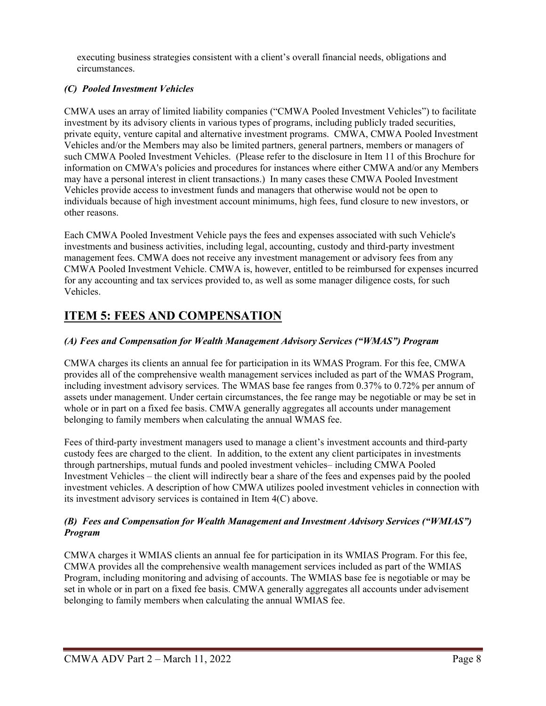executing business strategies consistent with a client's overall financial needs, obligations and circumstances.

#### *(C) Pooled Investment Vehicles*

CMWA uses an array of limited liability companies ("CMWA Pooled Investment Vehicles") to facilitate investment by its advisory clients in various types of programs, including publicly traded securities, private equity, venture capital and alternative investment programs. CMWA, CMWA Pooled Investment Vehicles and/or the Members may also be limited partners, general partners, members or managers of such CMWA Pooled Investment Vehicles. (Please refer to the disclosure in Item 11 of this Brochure for information on CMWA's policies and procedures for instances where either CMWA and/or any Members may have a personal interest in client transactions.) In many cases these CMWA Pooled Investment Vehicles provide access to investment funds and managers that otherwise would not be open to individuals because of high investment account minimums, high fees, fund closure to new investors, or other reasons.

Each CMWA Pooled Investment Vehicle pays the fees and expenses associated with such Vehicle's investments and business activities, including legal, accounting, custody and third-party investment management fees. CMWA does not receive any investment management or advisory fees from any CMWA Pooled Investment Vehicle. CMWA is, however, entitled to be reimbursed for expenses incurred for any accounting and tax services provided to, as well as some manager diligence costs, for such Vehicles.

## **ITEM 5: FEES AND COMPENSATION**

#### *(A) Fees and Compensation for Wealth Management Advisory Services ("WMAS") Program*

CMWA charges its clients an annual fee for participation in its WMAS Program. For this fee, CMWA provides all of the comprehensive wealth management services included as part of the WMAS Program, including investment advisory services. The WMAS base fee ranges from 0.37% to 0.72% per annum of assets under management. Under certain circumstances, the fee range may be negotiable or may be set in whole or in part on a fixed fee basis. CMWA generally aggregates all accounts under management belonging to family members when calculating the annual WMAS fee.

Fees of third-party investment managers used to manage a client's investment accounts and third-party custody fees are charged to the client. In addition, to the extent any client participates in investments through partnerships, mutual funds and pooled investment vehicles– including CMWA Pooled Investment Vehicles – the client will indirectly bear a share of the fees and expenses paid by the pooled investment vehicles. A description of how CMWA utilizes pooled investment vehicles in connection with its investment advisory services is contained in Item 4(C) above.

#### *(B) Fees and Compensation for Wealth Management and Investment Advisory Services ("WMIAS") Program*

CMWA charges it WMIAS clients an annual fee for participation in its WMIAS Program. For this fee, CMWA provides all the comprehensive wealth management services included as part of the WMIAS Program, including monitoring and advising of accounts. The WMIAS base fee is negotiable or may be set in whole or in part on a fixed fee basis. CMWA generally aggregates all accounts under advisement belonging to family members when calculating the annual WMIAS fee.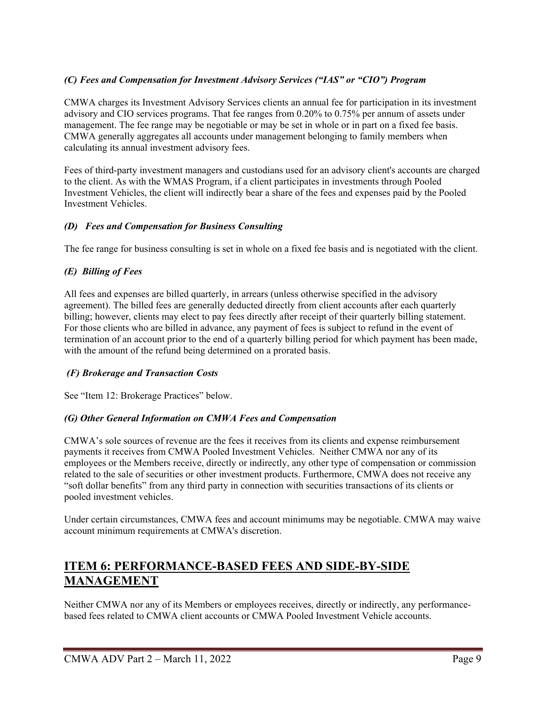#### *(C) Fees and Compensation for Investment Advisory Services ("IAS" or "CIO") Program*

CMWA charges its Investment Advisory Services clients an annual fee for participation in its investment advisory and CIO services programs. That fee ranges from 0.20% to 0.75% per annum of assets under management. The fee range may be negotiable or may be set in whole or in part on a fixed fee basis. CMWA generally aggregates all accounts under management belonging to family members when calculating its annual investment advisory fees.

Fees of third-party investment managers and custodians used for an advisory client's accounts are charged to the client. As with the WMAS Program, if a client participates in investments through Pooled Investment Vehicles, the client will indirectly bear a share of the fees and expenses paid by the Pooled Investment Vehicles.

#### *(D) Fees and Compensation for Business Consulting*

The fee range for business consulting is set in whole on a fixed fee basis and is negotiated with the client.

#### *(E) Billing of Fees*

All fees and expenses are billed quarterly, in arrears (unless otherwise specified in the advisory agreement). The billed fees are generally deducted directly from client accounts after each quarterly billing; however, clients may elect to pay fees directly after receipt of their quarterly billing statement. For those clients who are billed in advance, any payment of fees is subject to refund in the event of termination of an account prior to the end of a quarterly billing period for which payment has been made, with the amount of the refund being determined on a prorated basis.

#### *(F) Brokerage and Transaction Costs*

See "Item 12: Brokerage Practices" below.

#### *(G) Other General Information on CMWA Fees and Compensation*

CMWA's sole sources of revenue are the fees it receives from its clients and expense reimbursement payments it receives from CMWA Pooled Investment Vehicles. Neither CMWA nor any of its employees or the Members receive, directly or indirectly, any other type of compensation or commission related to the sale of securities or other investment products. Furthermore, CMWA does not receive any "soft dollar benefits" from any third party in connection with securities transactions of its clients or pooled investment vehicles.

Under certain circumstances, CMWA fees and account minimums may be negotiable. CMWA may waive account minimum requirements at CMWA's discretion.

## **ITEM 6: PERFORMANCE-BASED FEES AND SIDE-BY-SIDE MANAGEMENT**

Neither CMWA nor any of its Members or employees receives, directly or indirectly, any performancebased fees related to CMWA client accounts or CMWA Pooled Investment Vehicle accounts.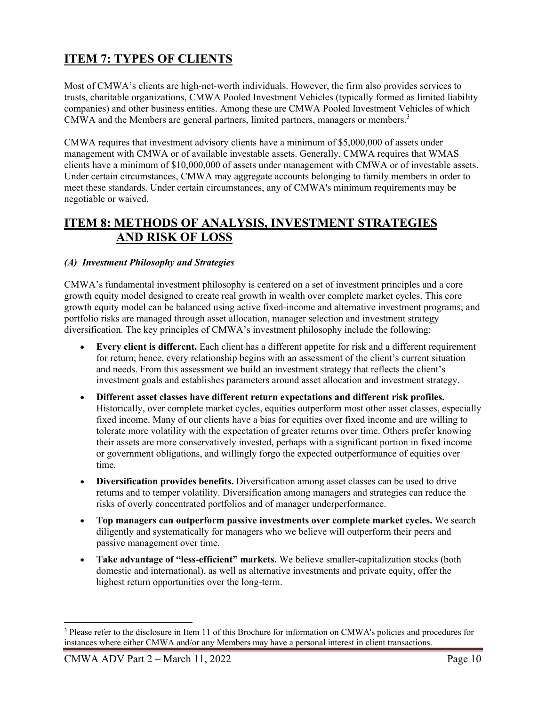## **ITEM 7: TYPES OF CLIENTS**

Most of CMWA's clients are high-net-worth individuals. However, the firm also provides services to trusts, charitable organizations, CMWA Pooled Investment Vehicles (typically formed as limited liability companies) and other business entities. Among these are CMWA Pooled Investment Vehicles of which CMWA and the Members are general partners, limited partners, managers or members.<sup>3</sup>

CMWA requires that investment advisory clients have a minimum of \$5,000,000 of assets under management with CMWA or of available investable assets. Generally, CMWA requires that WMAS clients have a minimum of \$10,000,000 of assets under management with CMWA or of investable assets. Under certain circumstances, CMWA may aggregate accounts belonging to family members in order to meet these standards. Under certain circumstances, any of CMWA's minimum requirements may be negotiable or waived.

### **ITEM 8: METHODS OF ANALYSIS, INVESTMENT STRATEGIES AND RISK OF LOSS**

#### *(A) Investment Philosophy and Strategies*

CMWA's fundamental investment philosophy is centered on a set of investment principles and a core growth equity model designed to create real growth in wealth over complete market cycles. This core growth equity model can be balanced using active fixed-income and alternative investment programs; and portfolio risks are managed through asset allocation, manager selection and investment strategy diversification. The key principles of CMWA's investment philosophy include the following:

- **Every client is different.** Each client has a different appetite for risk and a different requirement for return; hence, every relationship begins with an assessment of the client's current situation and needs. From this assessment we build an investment strategy that reflects the client's investment goals and establishes parameters around asset allocation and investment strategy.
- **Different asset classes have different return expectations and different risk profiles.**  Historically, over complete market cycles, equities outperform most other asset classes, especially fixed income. Many of our clients have a bias for equities over fixed income and are willing to tolerate more volatility with the expectation of greater returns over time. Others prefer knowing their assets are more conservatively invested, perhaps with a significant portion in fixed income or government obligations, and willingly forgo the expected outperformance of equities over time.
- **Diversification provides benefits.** Diversification among asset classes can be used to drive returns and to temper volatility. Diversification among managers and strategies can reduce the risks of overly concentrated portfolios and of manager underperformance.
- **Top managers can outperform passive investments over complete market cycles.** We search diligently and systematically for managers who we believe will outperform their peers and passive management over time.
- **Take advantage of "less-efficient" markets.** We believe smaller-capitalization stocks (both domestic and international), as well as alternative investments and private equity, offer the highest return opportunities over the long-term.

<sup>&</sup>lt;sup>3</sup> Please refer to the disclosure in Item 11 of this Brochure for information on CMWA's policies and procedures for instances where either CMWA and/or any Members may have a personal interest in client transactions.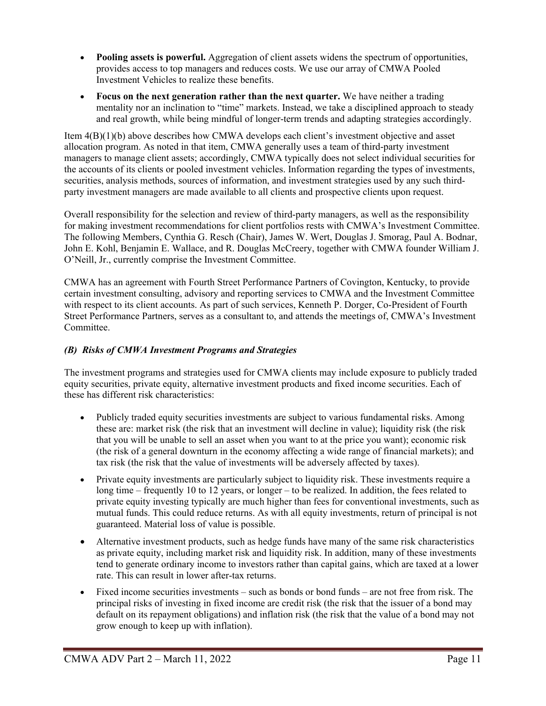- **Pooling assets is powerful.** Aggregation of client assets widens the spectrum of opportunities, provides access to top managers and reduces costs. We use our array of CMWA Pooled Investment Vehicles to realize these benefits.
- **Focus on the next generation rather than the next quarter.** We have neither a trading mentality nor an inclination to "time" markets. Instead, we take a disciplined approach to steady and real growth, while being mindful of longer-term trends and adapting strategies accordingly.

Item 4(B)(1)(b) above describes how CMWA develops each client's investment objective and asset allocation program. As noted in that item, CMWA generally uses a team of third-party investment managers to manage client assets; accordingly, CMWA typically does not select individual securities for the accounts of its clients or pooled investment vehicles. Information regarding the types of investments, securities, analysis methods, sources of information, and investment strategies used by any such thirdparty investment managers are made available to all clients and prospective clients upon request.

Overall responsibility for the selection and review of third-party managers, as well as the responsibility for making investment recommendations for client portfolios rests with CMWA's Investment Committee. The following Members, Cynthia G. Resch (Chair), James W. Wert, Douglas J. Smorag, Paul A. Bodnar, John E. Kohl, Benjamin E. Wallace, and R. Douglas McCreery, together with CMWA founder William J. O'Neill, Jr., currently comprise the Investment Committee.

CMWA has an agreement with Fourth Street Performance Partners of Covington, Kentucky, to provide certain investment consulting, advisory and reporting services to CMWA and the Investment Committee with respect to its client accounts. As part of such services, Kenneth P. Dorger, Co-President of Fourth Street Performance Partners, serves as a consultant to, and attends the meetings of, CMWA's Investment Committee.

#### *(B) Risks of CMWA Investment Programs and Strategies*

The investment programs and strategies used for CMWA clients may include exposure to publicly traded equity securities, private equity, alternative investment products and fixed income securities. Each of these has different risk characteristics:

- Publicly traded equity securities investments are subject to various fundamental risks. Among these are: market risk (the risk that an investment will decline in value); liquidity risk (the risk that you will be unable to sell an asset when you want to at the price you want); economic risk (the risk of a general downturn in the economy affecting a wide range of financial markets); and tax risk (the risk that the value of investments will be adversely affected by taxes).
- Private equity investments are particularly subject to liquidity risk. These investments require a long time – frequently 10 to 12 years, or longer – to be realized. In addition, the fees related to private equity investing typically are much higher than fees for conventional investments, such as mutual funds. This could reduce returns. As with all equity investments, return of principal is not guaranteed. Material loss of value is possible.
- Alternative investment products, such as hedge funds have many of the same risk characteristics as private equity, including market risk and liquidity risk. In addition, many of these investments tend to generate ordinary income to investors rather than capital gains, which are taxed at a lower rate. This can result in lower after-tax returns.
- Fixed income securities investments such as bonds or bond funds are not free from risk. The principal risks of investing in fixed income are credit risk (the risk that the issuer of a bond may default on its repayment obligations) and inflation risk (the risk that the value of a bond may not grow enough to keep up with inflation).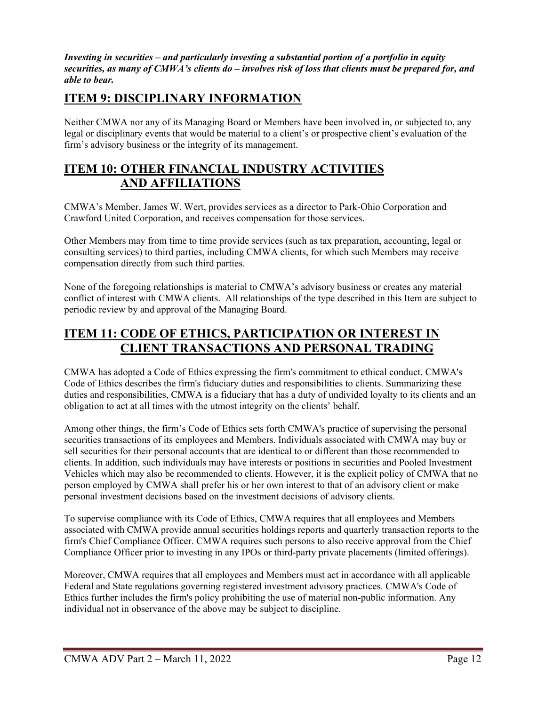*Investing in securities – and particularly investing a substantial portion of a portfolio in equity securities, as many of CMWA's clients do – involves risk of loss that clients must be prepared for, and able to bear.*

### **ITEM 9: DISCIPLINARY INFORMATION**

Neither CMWA nor any of its Managing Board or Members have been involved in, or subjected to, any legal or disciplinary events that would be material to a client's or prospective client's evaluation of the firm's advisory business or the integrity of its management.

### **ITEM 10: OTHER FINANCIAL INDUSTRY ACTIVITIES AND AFFILIATIONS**

CMWA's Member, James W. Wert, provides services as a director to Park-Ohio Corporation and Crawford United Corporation, and receives compensation for those services.

Other Members may from time to time provide services (such as tax preparation, accounting, legal or consulting services) to third parties, including CMWA clients, for which such Members may receive compensation directly from such third parties.

None of the foregoing relationships is material to CMWA's advisory business or creates any material conflict of interest with CMWA clients. All relationships of the type described in this Item are subject to periodic review by and approval of the Managing Board.

## **ITEM 11: CODE OF ETHICS, PARTICIPATION OR INTEREST IN CLIENT TRANSACTIONS AND PERSONAL TRADING**

CMWA has adopted a Code of Ethics expressing the firm's commitment to ethical conduct. CMWA's Code of Ethics describes the firm's fiduciary duties and responsibilities to clients. Summarizing these duties and responsibilities, CMWA is a fiduciary that has a duty of undivided loyalty to its clients and an obligation to act at all times with the utmost integrity on the clients' behalf.

Among other things, the firm's Code of Ethics sets forth CMWA's practice of supervising the personal securities transactions of its employees and Members. Individuals associated with CMWA may buy or sell securities for their personal accounts that are identical to or different than those recommended to clients. In addition, such individuals may have interests or positions in securities and Pooled Investment Vehicles which may also be recommended to clients. However, it is the explicit policy of CMWA that no person employed by CMWA shall prefer his or her own interest to that of an advisory client or make personal investment decisions based on the investment decisions of advisory clients.

To supervise compliance with its Code of Ethics, CMWA requires that all employees and Members associated with CMWA provide annual securities holdings reports and quarterly transaction reports to the firm's Chief Compliance Officer. CMWA requires such persons to also receive approval from the Chief Compliance Officer prior to investing in any IPOs or third-party private placements (limited offerings).

Moreover, CMWA requires that all employees and Members must act in accordance with all applicable Federal and State regulations governing registered investment advisory practices. CMWA's Code of Ethics further includes the firm's policy prohibiting the use of material non-public information. Any individual not in observance of the above may be subject to discipline.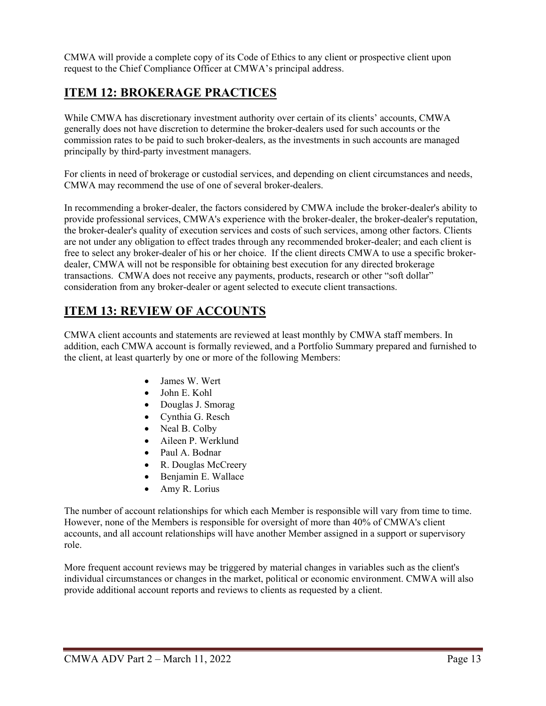CMWA will provide a complete copy of its Code of Ethics to any client or prospective client upon request to the Chief Compliance Officer at CMWA's principal address.

## **ITEM 12: BROKERAGE PRACTICES**

While CMWA has discretionary investment authority over certain of its clients' accounts, CMWA generally does not have discretion to determine the broker-dealers used for such accounts or the commission rates to be paid to such broker-dealers, as the investments in such accounts are managed principally by third-party investment managers.

For clients in need of brokerage or custodial services, and depending on client circumstances and needs, CMWA may recommend the use of one of several broker-dealers.

In recommending a broker-dealer, the factors considered by CMWA include the broker-dealer's ability to provide professional services, CMWA's experience with the broker-dealer, the broker-dealer's reputation, the broker-dealer's quality of execution services and costs of such services, among other factors. Clients are not under any obligation to effect trades through any recommended broker-dealer; and each client is free to select any broker-dealer of his or her choice. If the client directs CMWA to use a specific brokerdealer, CMWA will not be responsible for obtaining best execution for any directed brokerage transactions. CMWA does not receive any payments, products, research or other "soft dollar" consideration from any broker-dealer or agent selected to execute client transactions.

## **ITEM 13: REVIEW OF ACCOUNTS**

CMWA client accounts and statements are reviewed at least monthly by CMWA staff members. In addition, each CMWA account is formally reviewed, and a Portfolio Summary prepared and furnished to the client, at least quarterly by one or more of the following Members:

- James W. Wert
- John E. Kohl
- Douglas J. Smorag
- Cynthia G. Resch
- Neal B. Colby
- Aileen P. Werklund
- Paul A. Bodnar
- R. Douglas McCreery
- Benjamin E. Wallace
- Amy R. Lorius

The number of account relationships for which each Member is responsible will vary from time to time. However, none of the Members is responsible for oversight of more than 40% of CMWA's client accounts, and all account relationships will have another Member assigned in a support or supervisory role.

More frequent account reviews may be triggered by material changes in variables such as the client's individual circumstances or changes in the market, political or economic environment. CMWA will also provide additional account reports and reviews to clients as requested by a client.